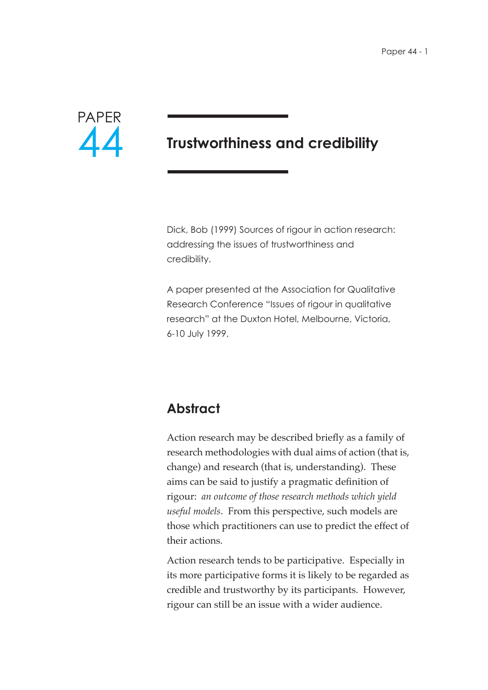

# **Trustworthiness and credibility**

Dick, Bob (1999) Sources of rigour in action research: addressing the issues of trustworthiness and credibility.

A paper presented at the Association for Qualitative Research Conference "Issues of rigour in qualitative research" at the Duxton Hotel, Melbourne, Victoria, 6-10 July 1999.

## **Abstract**

Action research may be described briefly as a family of research methodologies with dual aims of action (that is, change) and research (that is, understanding). These aims can be said to justify a pragmatic definition of rigour: *an outcome of those research methods which yield useful models*. From this perspective, such models are those which practitioners can use to predict the effect of their actions.

Action research tends to be participative. Especially in its more participative forms it is likely to be regarded as credible and trustworthy by its participants. However, rigour can still be an issue with a wider audience.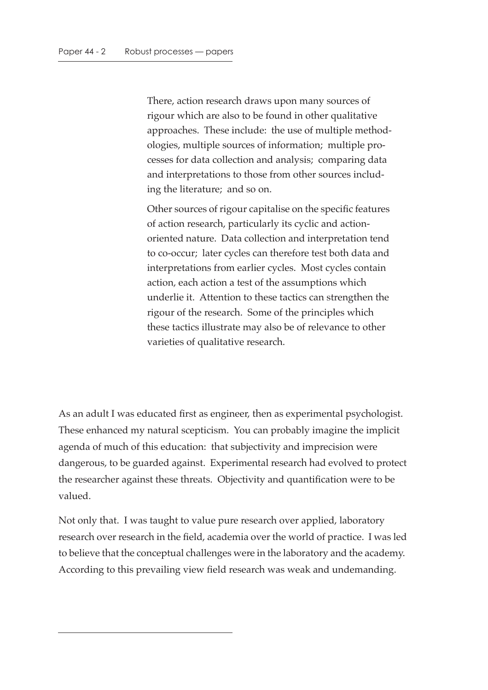There, action research draws upon many sources of rigour which are also to be found in other qualitative approaches. These include: the use of multiple methodologies, multiple sources of information; multiple processes for data collection and analysis; comparing data and interpretations to those from other sources including the literature; and so on.

Other sources of rigour capitalise on the specific features of action research, particularly its cyclic and actionoriented nature. Data collection and interpretation tend to co-occur; later cycles can therefore test both data and interpretations from earlier cycles. Most cycles contain action, each action a test of the assumptions which underlie it. Attention to these tactics can strengthen the rigour of the research. Some of the principles which these tactics illustrate may also be of relevance to other varieties of qualitative research.

As an adult I was educated first as engineer, then as experimental psychologist. These enhanced my natural scepticism. You can probably imagine the implicit agenda of much of this education: that subjectivity and imprecision were dangerous, to be guarded against. Experimental research had evolved to protect the researcher against these threats. Objectivity and quantification were to be valued.

Not only that. I was taught to value pure research over applied, laboratory research over research in the field, academia over the world of practice. I was led to believe that the conceptual challenges were in the laboratory and the academy. According to this prevailing view field research was weak and undemanding.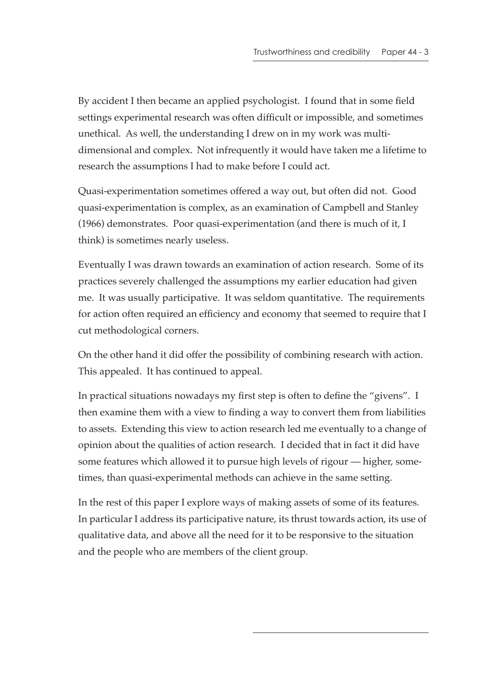By accident I then became an applied psychologist. I found that in some field settings experimental research was often difficult or impossible, and sometimes unethical. As well, the understanding I drew on in my work was multidimensional and complex. Not infrequently it would have taken me a lifetime to research the assumptions I had to make before I could act.

Quasi-experimentation sometimes offered a way out, but often did not. Good quasi-experimentation is complex, as an examination of Campbell and Stanley (1966) demonstrates. Poor quasi-experimentation (and there is much of it, I think) is sometimes nearly useless.

Eventually I was drawn towards an examination of action research. Some of its practices severely challenged the assumptions my earlier education had given me. It was usually participative. It was seldom quantitative. The requirements for action often required an efficiency and economy that seemed to require that I cut methodological corners.

On the other hand it did offer the possibility of combining research with action. This appealed. It has continued to appeal.

In practical situations nowadays my first step is often to define the "givens". I then examine them with a view to finding a way to convert them from liabilities to assets. Extending this view to action research led me eventually to a change of opinion about the qualities of action research. I decided that in fact it did have some features which allowed it to pursue high levels of rigour — higher, sometimes, than quasi-experimental methods can achieve in the same setting.

In the rest of this paper I explore ways of making assets of some of its features. In particular I address its participative nature, its thrust towards action, its use of qualitative data, and above all the need for it to be responsive to the situation and the people who are members of the client group.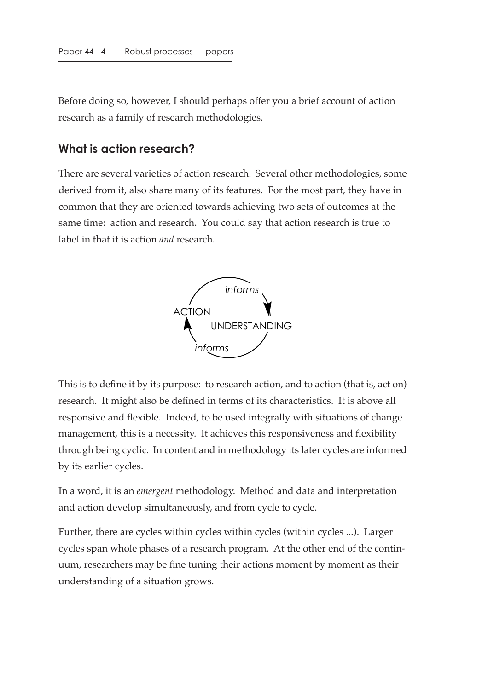Before doing so, however, I should perhaps offer you a brief account of action research as a family of research methodologies.

#### **What is action research?**

There are several varieties of action research. Several other methodologies, some derived from it, also share many of its features. For the most part, they have in common that they are oriented towards achieving two sets of outcomes at the same time: action and research. You could say that action research is true to label in that it is action *and* research.



This is to define it by its purpose: to research action, and to action (that is, act on) research. It might also be defined in terms of its characteristics. It is above all responsive and flexible. Indeed, to be used integrally with situations of change management, this is a necessity. It achieves this responsiveness and flexibility through being cyclic. In content and in methodology its later cycles are informed by its earlier cycles.

In a word, it is an *emergent* methodology. Method and data and interpretation and action develop simultaneously, and from cycle to cycle.

Further, there are cycles within cycles within cycles (within cycles ...). Larger cycles span whole phases of a research program. At the other end of the continuum, researchers may be fine tuning their actions moment by moment as their understanding of a situation grows.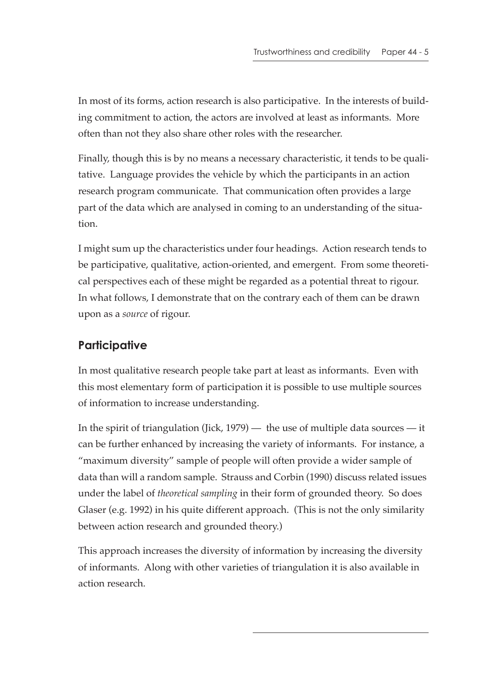In most of its forms, action research is also participative. In the interests of building commitment to action, the actors are involved at least as informants. More often than not they also share other roles with the researcher.

Finally, though this is by no means a necessary characteristic, it tends to be qualitative. Language provides the vehicle by which the participants in an action research program communicate. That communication often provides a large part of the data which are analysed in coming to an understanding of the situation.

I might sum up the characteristics under four headings. Action research tends to be participative, qualitative, action-oriented, and emergent. From some theoretical perspectives each of these might be regarded as a potential threat to rigour. In what follows, I demonstrate that on the contrary each of them can be drawn upon as a *source* of rigour.

## **Participative**

In most qualitative research people take part at least as informants. Even with this most elementary form of participation it is possible to use multiple sources of information to increase understanding.

In the spirit of triangulation (Jick,  $1979$ ) — the use of multiple data sources — it can be further enhanced by increasing the variety of informants. For instance, a "maximum diversity" sample of people will often provide a wider sample of data than will a random sample. Strauss and Corbin (1990) discuss related issues under the label of *theoretical sampling* in their form of grounded theory. So does Glaser (e.g. 1992) in his quite different approach. (This is not the only similarity between action research and grounded theory.)

This approach increases the diversity of information by increasing the diversity of informants. Along with other varieties of triangulation it is also available in action research.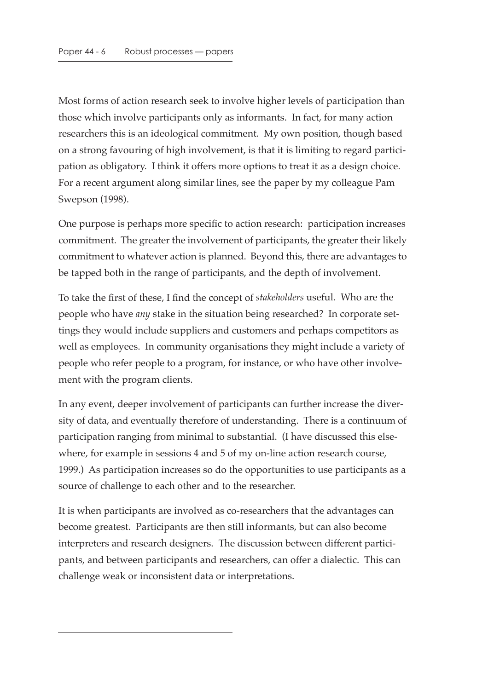Most forms of action research seek to involve higher levels of participation than those which involve participants only as informants. In fact, for many action researchers this is an ideological commitment. My own position, though based on a strong favouring of high involvement, is that it is limiting to regard participation as obligatory. I think it offers more options to treat it as a design choice. For a recent argument along similar lines, see the paper by my colleague Pam Swepson (1998).

One purpose is perhaps more specific to action research: participation increases commitment. The greater the involvement of participants, the greater their likely commitment to whatever action is planned. Beyond this, there are advantages to be tapped both in the range of participants, and the depth of involvement.

To take the first of these, I find the concept of *stakeholders* useful. Who are the people who have *any* stake in the situation being researched? In corporate settings they would include suppliers and customers and perhaps competitors as well as employees. In community organisations they might include a variety of people who refer people to a program, for instance, or who have other involvement with the program clients.

In any event, deeper involvement of participants can further increase the diversity of data, and eventually therefore of understanding. There is a continuum of participation ranging from minimal to substantial. (I have discussed this elsewhere, for example in sessions 4 and 5 of my on-line action research course, 1999.) As participation increases so do the opportunities to use participants as a source of challenge to each other and to the researcher.

It is when participants are involved as co-researchers that the advantages can become greatest. Participants are then still informants, but can also become interpreters and research designers. The discussion between different participants, and between participants and researchers, can offer a dialectic. This can challenge weak or inconsistent data or interpretations.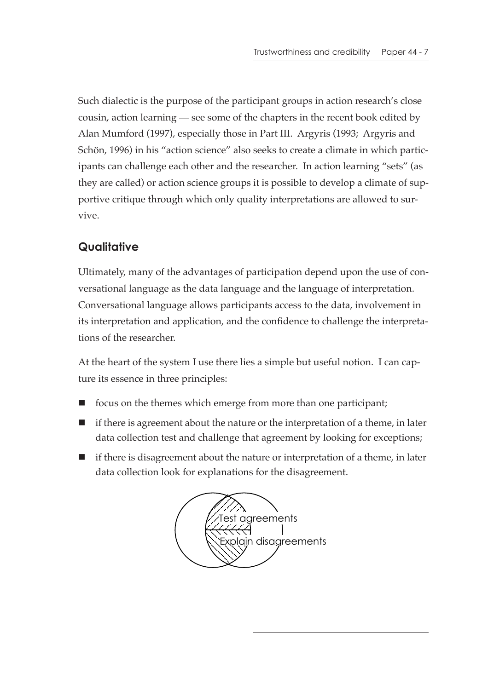Such dialectic is the purpose of the participant groups in action research's close cousin, action learning — see some of the chapters in the recent book edited by Alan Mumford (1997), especially those in Part III. Argyris (1993; Argyris and Schön, 1996) in his "action science" also seeks to create a climate in which participants can challenge each other and the researcher. In action learning "sets" (as they are called) or action science groups it is possible to develop a climate of supportive critique through which only quality interpretations are allowed to survive.

### **Qualitative**

Ultimately, many of the advantages of participation depend upon the use of conversational language as the data language and the language of interpretation. Conversational language allows participants access to the data, involvement in its interpretation and application, and the confidence to challenge the interpretations of the researcher.

At the heart of the system I use there lies a simple but useful notion. I can capture its essence in three principles:

- $\blacksquare$  focus on the themes which emerge from more than one participant;
- $\blacksquare$  if there is agreement about the nature or the interpretation of a theme, in later data collection test and challenge that agreement by looking for exceptions;
- if there is disagreement about the nature or interpretation of a theme, in later data collection look for explanations for the disagreement.

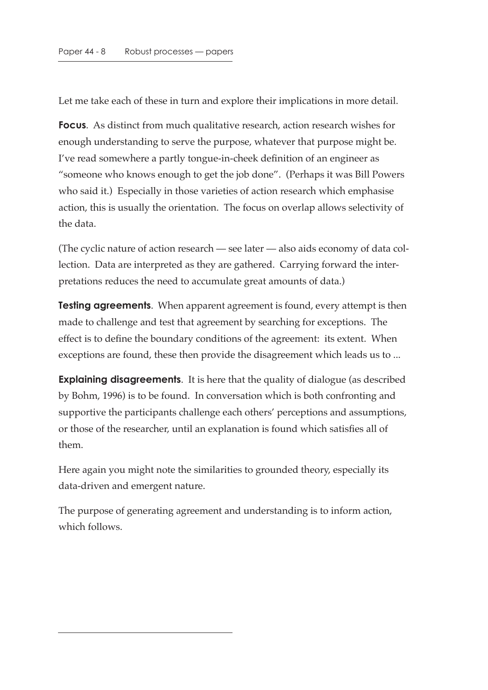Let me take each of these in turn and explore their implications in more detail.

**Focus**. As distinct from much qualitative research, action research wishes for enough understanding to serve the purpose, whatever that purpose might be. I've read somewhere a partly tongue-in-cheek definition of an engineer as "someone who knows enough to get the job done". (Perhaps it was Bill Powers who said it.) Especially in those varieties of action research which emphasise action, this is usually the orientation. The focus on overlap allows selectivity of the data.

(The cyclic nature of action research — see later — also aids economy of data collection. Data are interpreted as they are gathered. Carrying forward the interpretations reduces the need to accumulate great amounts of data.)

**Testing agreements**. When apparent agreement is found, every attempt is then made to challenge and test that agreement by searching for exceptions. The effect is to define the boundary conditions of the agreement: its extent. When exceptions are found, these then provide the disagreement which leads us to ...

**Explaining disagreements**. It is here that the quality of dialogue (as described by Bohm, 1996) is to be found. In conversation which is both confronting and supportive the participants challenge each others' perceptions and assumptions, or those of the researcher, until an explanation is found which satisfies all of them.

Here again you might note the similarities to grounded theory, especially its data-driven and emergent nature.

The purpose of generating agreement and understanding is to inform action, which follows.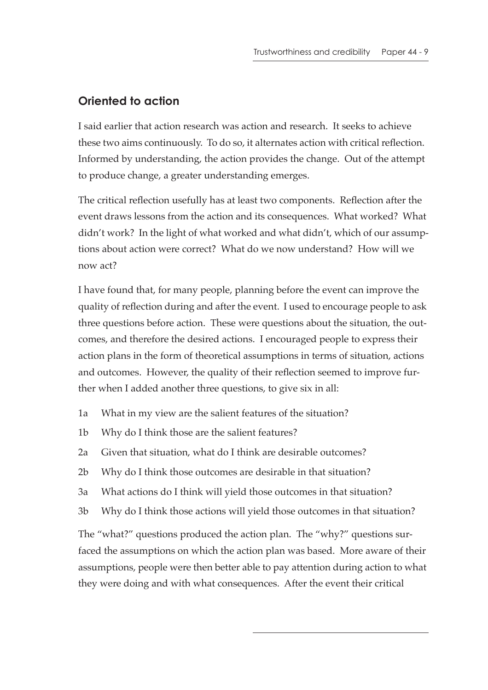### **Oriented to action**

I said earlier that action research was action and research. It seeks to achieve these two aims continuously. To do so, it alternates action with critical reflection. Informed by understanding, the action provides the change. Out of the attempt to produce change, a greater understanding emerges.

The critical reflection usefully has at least two components. Reflection after the event draws lessons from the action and its consequences. What worked? What didn't work? In the light of what worked and what didn't, which of our assumptions about action were correct? What do we now understand? How will we now act?

I have found that, for many people, planning before the event can improve the quality of reflection during and after the event. I used to encourage people to ask three questions before action. These were questions about the situation, the outcomes, and therefore the desired actions. I encouraged people to express their action plans in the form of theoretical assumptions in terms of situation, actions and outcomes. However, the quality of their reflection seemed to improve further when I added another three questions, to give six in all:

- 1a What in my view are the salient features of the situation?
- 1b Why do I think those are the salient features?
- 2a Given that situation, what do I think are desirable outcomes?
- 2b Why do I think those outcomes are desirable in that situation?
- 3a What actions do I think will yield those outcomes in that situation?
- 3b Why do I think those actions will yield those outcomes in that situation?

The "what?" questions produced the action plan. The "why?" questions surfaced the assumptions on which the action plan was based. More aware of their assumptions, people were then better able to pay attention during action to what they were doing and with what consequences. After the event their critical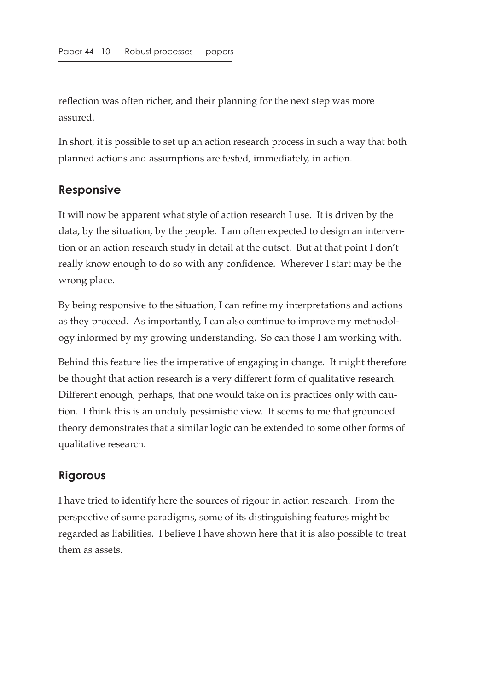reflection was often richer, and their planning for the next step was more assured.

In short, it is possible to set up an action research process in such a way that both planned actions and assumptions are tested, immediately, in action.

#### **Responsive**

It will now be apparent what style of action research I use. It is driven by the data, by the situation, by the people. I am often expected to design an intervention or an action research study in detail at the outset. But at that point I don't really know enough to do so with any confidence. Wherever I start may be the wrong place.

By being responsive to the situation, I can refine my interpretations and actions as they proceed. As importantly, I can also continue to improve my methodology informed by my growing understanding. So can those I am working with.

Behind this feature lies the imperative of engaging in change. It might therefore be thought that action research is a very different form of qualitative research. Different enough, perhaps, that one would take on its practices only with caution. I think this is an unduly pessimistic view. It seems to me that grounded theory demonstrates that a similar logic can be extended to some other forms of qualitative research.

### **Rigorous**

I have tried to identify here the sources of rigour in action research. From the perspective of some paradigms, some of its distinguishing features might be regarded as liabilities. I believe I have shown here that it is also possible to treat them as assets.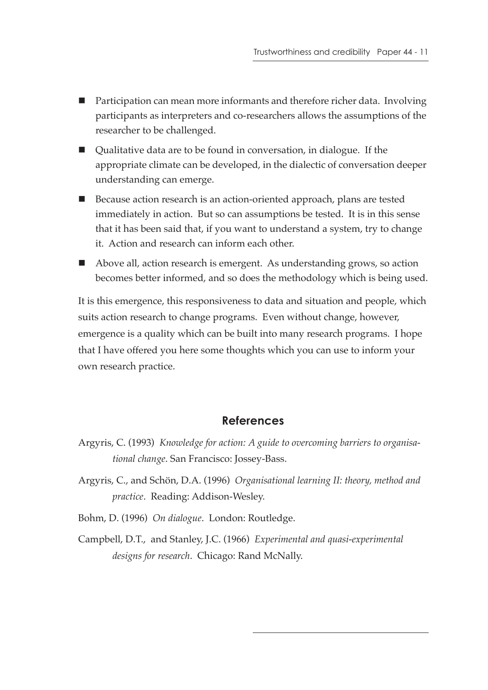- Participation can mean more informants and therefore richer data. Involving participants as interpreters and co-researchers allows the assumptions of the researcher to be challenged.
- Qualitative data are to be found in conversation, in dialogue. If the appropriate climate can be developed, in the dialectic of conversation deeper understanding can emerge.
- Because action research is an action-oriented approach, plans are tested immediately in action. But so can assumptions be tested. It is in this sense that it has been said that, if you want to understand a system, try to change it. Action and research can inform each other.
- Above all, action research is emergent. As understanding grows, so action becomes better informed, and so does the methodology which is being used.

It is this emergence, this responsiveness to data and situation and people, which suits action research to change programs. Even without change, however, emergence is a quality which can be built into many research programs. I hope that I have offered you here some thoughts which you can use to inform your own research practice.

#### **References**

- Argyris, C. (1993) *Knowledge for action: A guide to overcoming barriers to organisational change*. San Francisco: Jossey-Bass.
- Argyris, C., and Schön, D.A. (1996) *Organisational learning II: theory, method and practice*. Reading: Addison-Wesley.
- Bohm, D. (1996) *On dialogue*. London: Routledge.
- Campbell, D.T., and Stanley, J.C. (1966) *Experimental and quasi-experimental designs for research*. Chicago: Rand McNally.